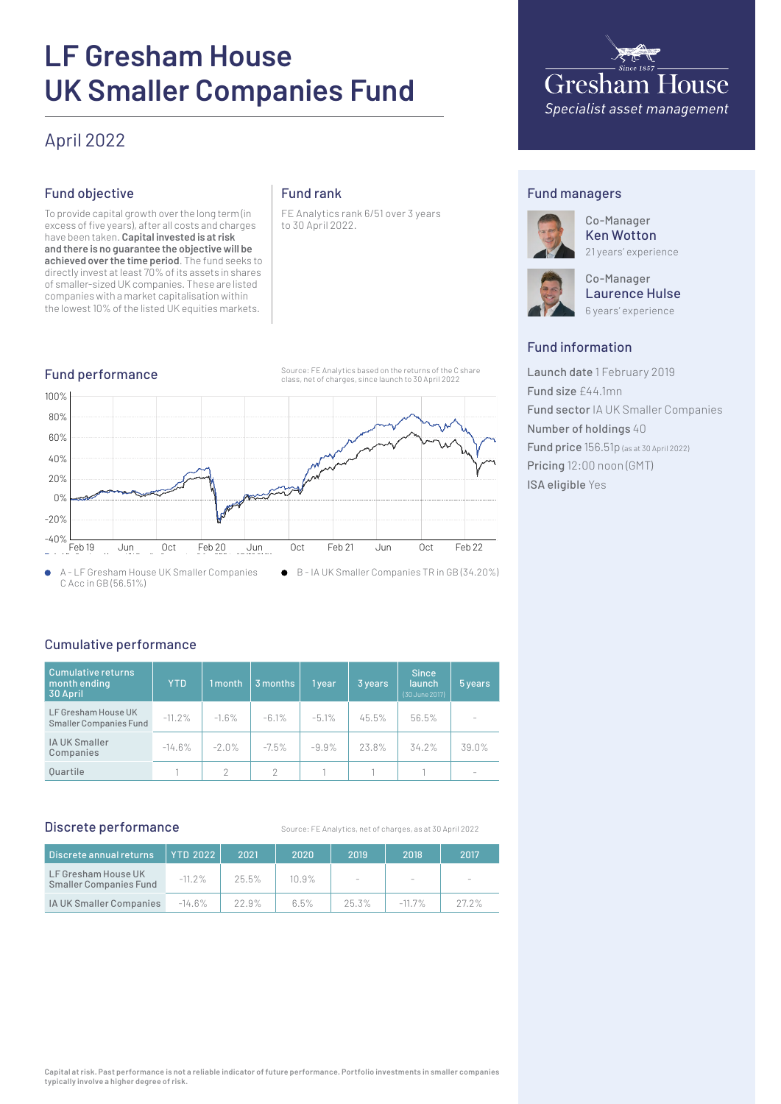# **LF Gresham House UK Smaller Companies Fund**

## April 2022

#### Fund objective

To provide capital growth over the long term (in excess of five years), after all costs and charges have been taken. **Capital invested is at risk and there is no guarantee the objective will be achieved over the time period**. The fund seeks to directly invest at least 70% of its assets in shares of smaller-sized UK companies. These are listed companies with a market capitalisation within the lowest 10% of the listed UK equities markets.

#### Fund rank



FE Analytics rank 6/51 over 3 years to 30 April 2022.



#### Fund managers



Co-Manager Ken Wotton 21 years' experience

Co-Manager Laurence Hulse 6 years' experience

#### Fund information

Launch date 1 February 2019 Fund size £44.1mn Fund sector IA UK Smaller Companies Number of holdings 40 Fund price 156.51p (as at 30 April 2022) Pricing 12:00 noon (GMT) ISA eligible Yes

### Cumulative performance

| Cumulative returns<br>month ending<br>30 April       | <b>YTD</b> | 1 month | 3 months      | 1 year  | 3 years | <b>Since</b><br><b>launch</b><br>(30 June 2017) | 5 years                  |
|------------------------------------------------------|------------|---------|---------------|---------|---------|-------------------------------------------------|--------------------------|
| LF Gresham House UK<br><b>Smaller Companies Fund</b> | $-11.2%$   | $-1.6%$ | $-6.1%$       | $-5.1%$ | 45.5%   | 56.5%                                           |                          |
| IA UK Smaller<br>Companies                           | $-14.6%$   | $-2.0%$ | $-7.5\%$      | $-9.9%$ | 23.8%   | 34.2%                                           | 39.0%                    |
| <b>Ouartile</b>                                      |            | 2       | $\mathcal{P}$ |         |         |                                                 | $\overline{\phantom{a}}$ |

#### Discrete performance

Source: FE Analytics, net of charges, as at 30 April 2022

| Discrete annual returns                              | <b>YTD 2022</b> | 2021     | 2020     | 2019  | 2018                     | 2017  |
|------------------------------------------------------|-----------------|----------|----------|-------|--------------------------|-------|
| LF Gresham House UK<br><b>Smaller Companies Fund</b> | $-11.2%$        | $25.5\%$ | $10.9\%$ |       | $\overline{\phantom{a}}$ |       |
| IA UK Smaller Companies                              | $-14.6\%$       | 22.9%    | 6.5%     | 25.3% | $-11.7\%$                | 27.2% |